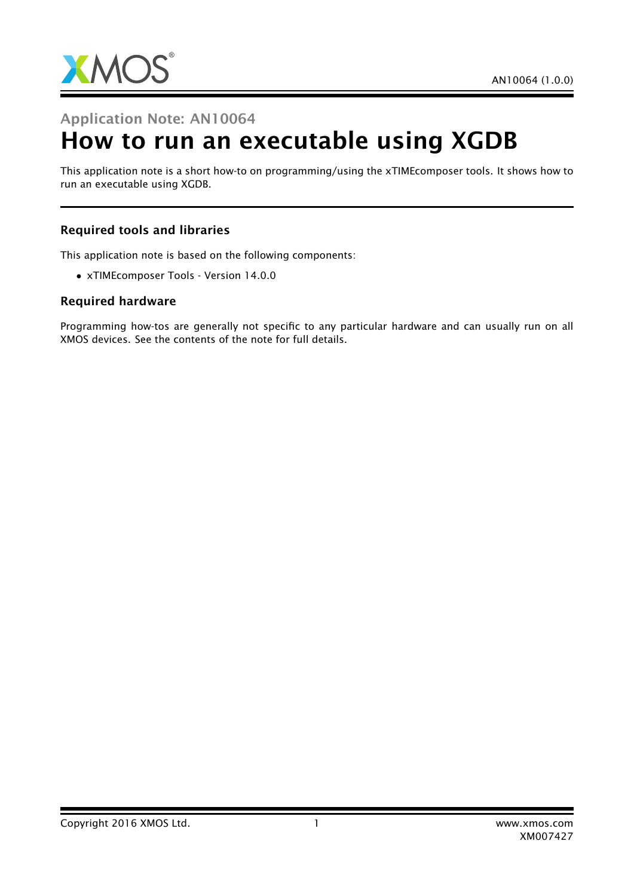

## Application Note: AN10064

# How to run an executable using XGDB

This application note is a short how-to on programming/using the xTIMEcomposer tools. It shows how to run an executable using XGDB.

#### Required tools and libraries

This application note is based on the following components:

• xTIMEcomposer Tools - Version 14.0.0

#### Required hardware

Programming how-tos are generally not specific to any particular hardware and can usually run on all XMOS devices. See the contents of the note for full details.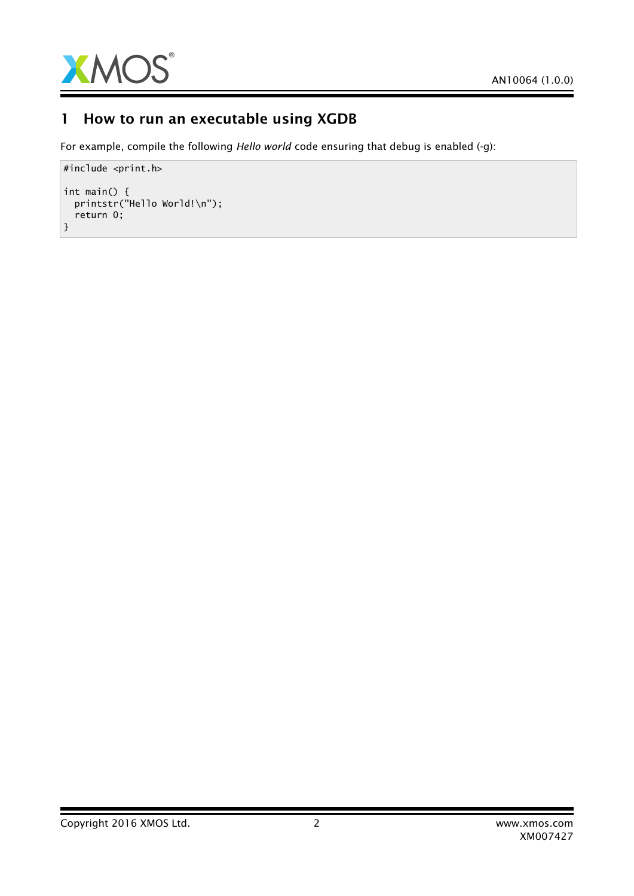

## 1 How to run an executable using XGDB

For example, compile the following *Hello world* code ensuring that debug is enabled (-g):

```
#include <print.h>
int main() {
  printstr("Hello World!\n");
  return 0;
}
```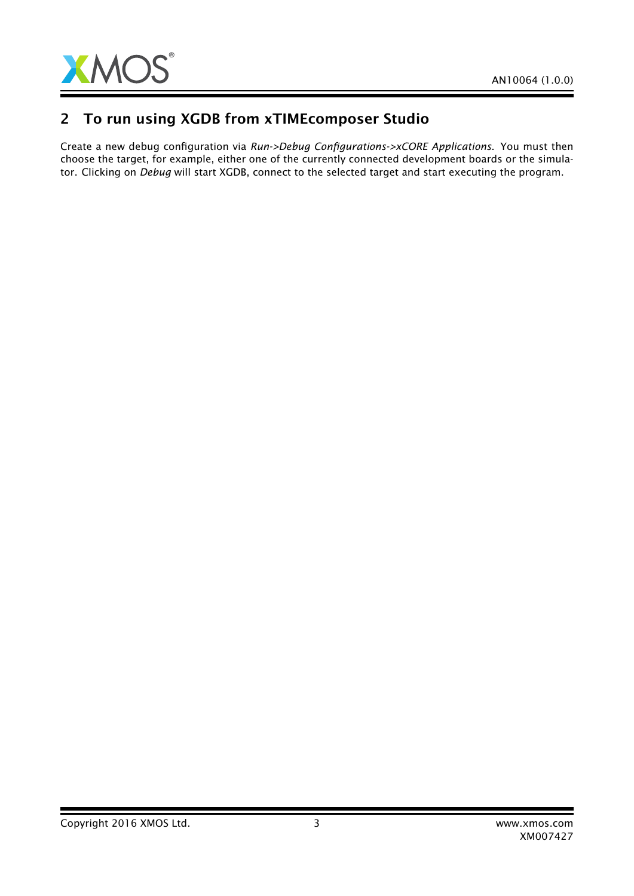

## 2 To run using XGDB from xTIMEcomposer Studio

Create a new debug configuration via *Run->Debug Configurations->xCORE Applications*. You must then choose the target, for example, either one of the currently connected development boards or the simulator. Clicking on *Debug* will start XGDB, connect to the selected target and start executing the program.